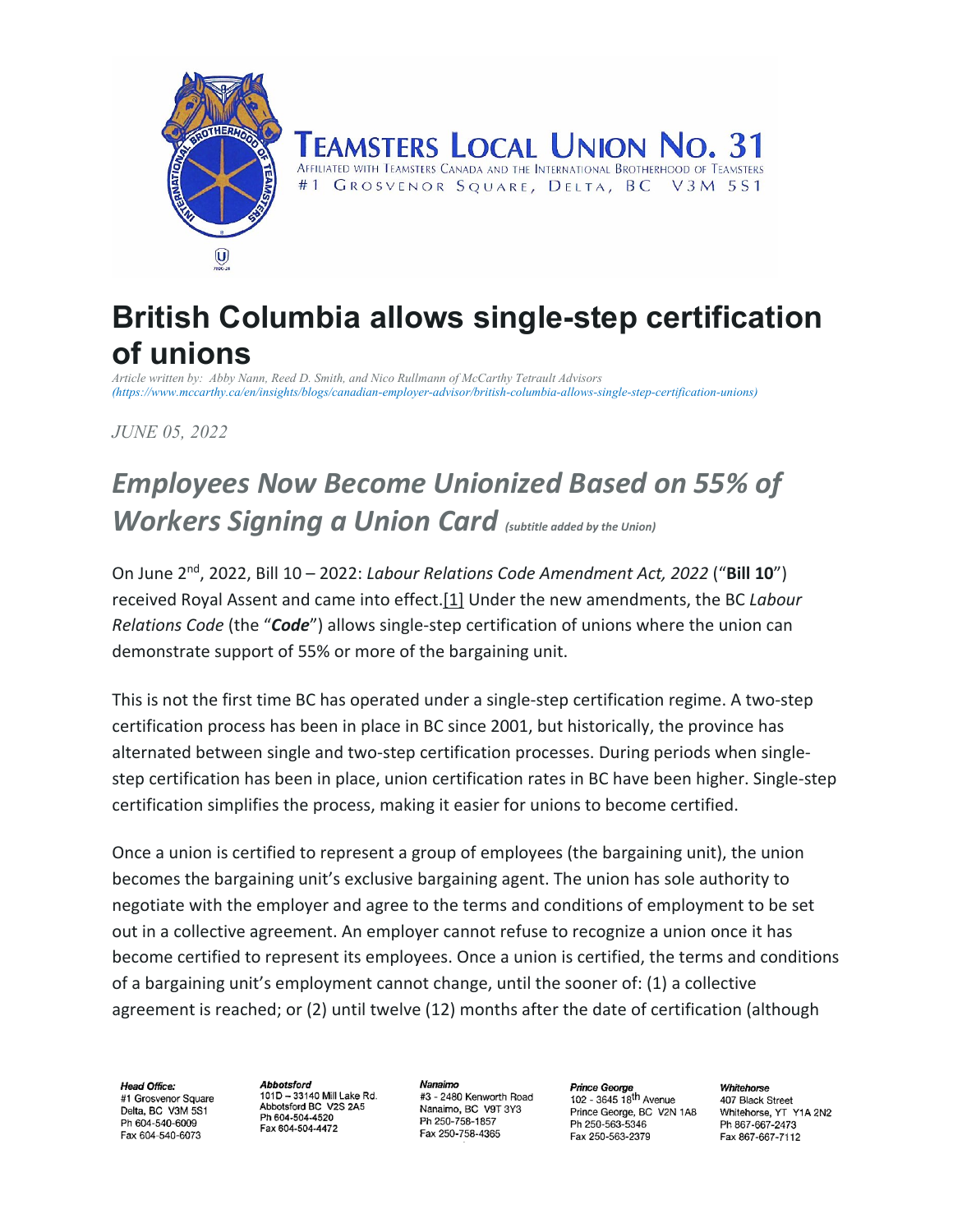

## **TEAMSTERS LOCAL UNION NO. 31** AFFILIATED WITH TEAMSTERS CANADA AND THE INTERNATIONAL BROTHERHOOD OF TEAMSTERS

GROSVENOR SQUARE, DELTA, BC V3M 5S1  $#1$ 

## **British Columbia allows single-step certification of unions**

*Article written by: Abby Nann, Reed D. Smith, and Nico Rullmann of McCarthy Tetrault Advisors (https://www.mccarthy.ca/en/insights/blogs/canadian-employer-advisor/british-columbia-allows-single-step-certification-unions)*

*JUNE 05, 2022*

# *Employees Now Become Unionized Based on 55% of Workers Signing a Union Card (subtitle added by the Union)*

On June 2nd, 2022, Bill 10 – 2022: *Labour Relations Code Amendment Act, 2022* ("**Bill 10**") received Royal Assent and came into effect[.\[1\]](https://www.mccarthy.ca/en/insights/blogs/canadian-employer-advisor/british-columbia-allows-single-step-certification-unions#_ftn1) Under the new amendments, the BC *Labour Relations Code* (the "*Code*") allows single-step certification of unions where the union can demonstrate support of 55% or more of the bargaining unit.

This is not the first time BC has operated under a single-step certification regime. A two-step certification process has been in place in BC since 2001, but historically, the province has alternated between single and two-step certification processes. During periods when singlestep certification has been in place, union certification rates in BC have been higher. Single-step certification simplifies the process, making it easier for unions to become certified.

Once a union is certified to represent a group of employees (the bargaining unit), the union becomes the bargaining unit's exclusive bargaining agent. The union has sole authority to negotiate with the employer and agree to the terms and conditions of employment to be set out in a collective agreement. An employer cannot refuse to recognize a union once it has become certified to represent its employees. Once a union is certified, the terms and conditions of a bargaining unit's employment cannot change, until the sooner of: (1) a collective agreement is reached; or (2) until twelve (12) months after the date of certification (although

Head Office: #1 Grosvenor Square Delta, BC, V3M 5S1 Ph 604-540-6009 Fax 604-540-6073

Abbotsford 101D - 33140 Mill Lake Rd. Abbotsford BC V2S 2A5 Ph 604-504-4520 Fax 604-504-4472

Nanaimo #3 - 2480 Kenworth Road Nanaimo, BC V9T 3Y3 Ph 250-758-1857 Fax 250-758-4365

**Prince George**  $102 - 3645$   $18<sup>th</sup>$  Avenue Prince George, BC V2N 1A8 Ph 250-563-5346 Fax 250-563-2379

Whitehorse 407 Black Street Whitehorse, YT Y1A 2N2 Ph 867-667-2473 Fax 867-667-7112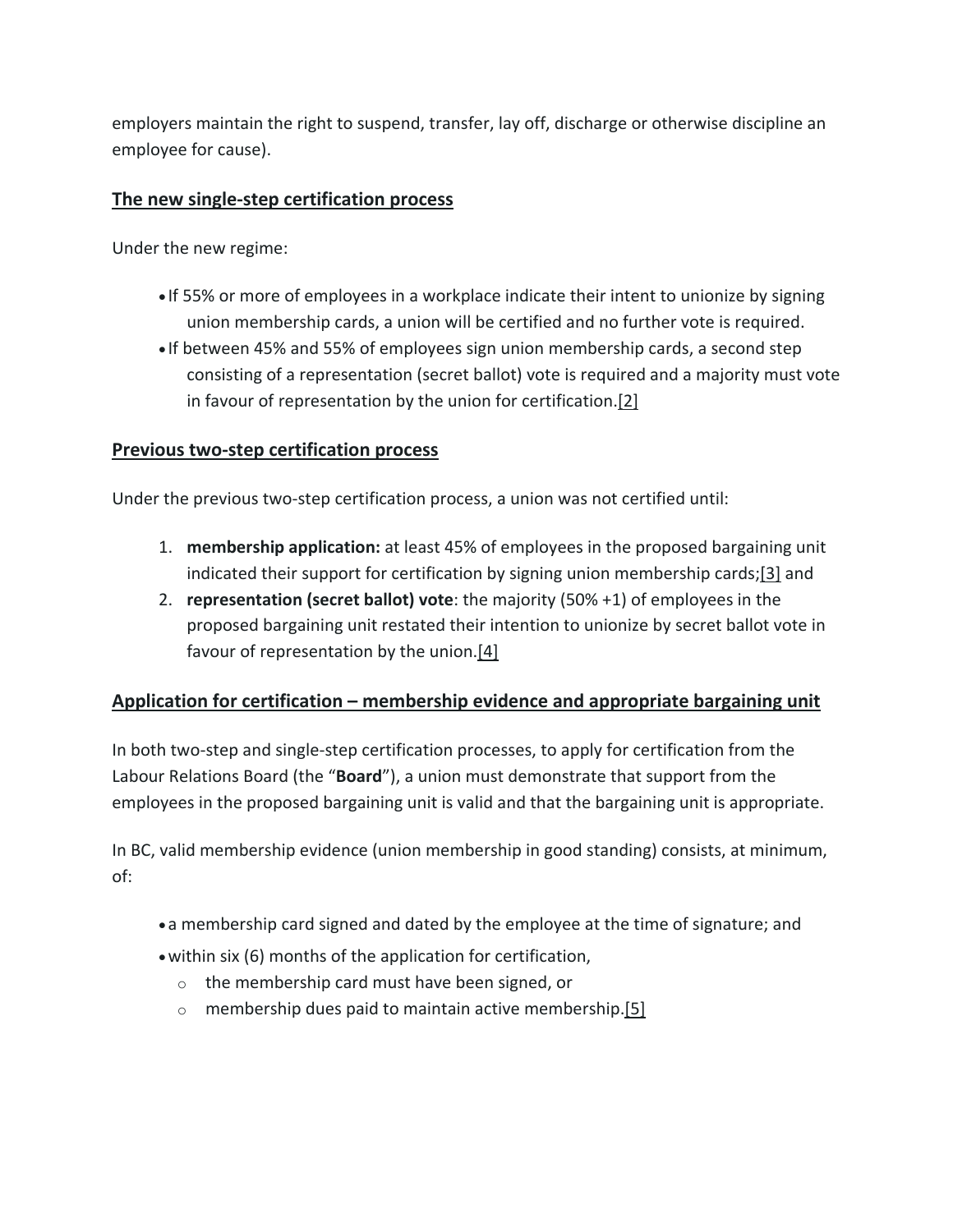employers maintain the right to suspend, transfer, lay off, discharge or otherwise discipline an employee for cause).

#### **The new single-step certification process**

Under the new regime:

- If 55% or more of employees in a workplace indicate their intent to unionize by signing union membership cards, a union will be certified and no further vote is required.
- If between 45% and 55% of employees sign union membership cards, a second step consisting of a representation (secret ballot) vote is required and a majority must vote in favour of representation by the union for certification[.\[2\]](https://www.mccarthy.ca/en/insights/blogs/canadian-employer-advisor/british-columbia-allows-single-step-certification-unions#_ftn2)

#### **Previous two-step certification process**

Under the previous two-step certification process, a union was not certified until:

- 1. **membership application:** at least 45% of employees in the proposed bargaining unit indicated their support for certification by signing union membership cards[;\[3\]](https://www.mccarthy.ca/en/insights/blogs/canadian-employer-advisor/british-columbia-allows-single-step-certification-unions#_ftn3) and
- 2. **representation (secret ballot) vote**: the majority (50% +1) of employees in the proposed bargaining unit restated their intention to unionize by secret ballot vote in favour of representation by the union[.\[4\]](https://www.mccarthy.ca/en/insights/blogs/canadian-employer-advisor/british-columbia-allows-single-step-certification-unions#_ftn4)

## **Application for certification – membership evidence and appropriate bargaining unit**

In both two-step and single-step certification processes, to apply for certification from the Labour Relations Board (the "**Board**"), a union must demonstrate that support from the employees in the proposed bargaining unit is valid and that the bargaining unit is appropriate.

In BC, valid membership evidence (union membership in good standing) consists, at minimum, of:

- •a membership card signed and dated by the employee at the time of signature; and
- •within six (6) months of the application for certification,
	- o the membership card must have been signed, or
	- $\circ$  membership dues paid to maintain active membership[.\[5\]](https://www.mccarthy.ca/en/insights/blogs/canadian-employer-advisor/british-columbia-allows-single-step-certification-unions#_ftn5)